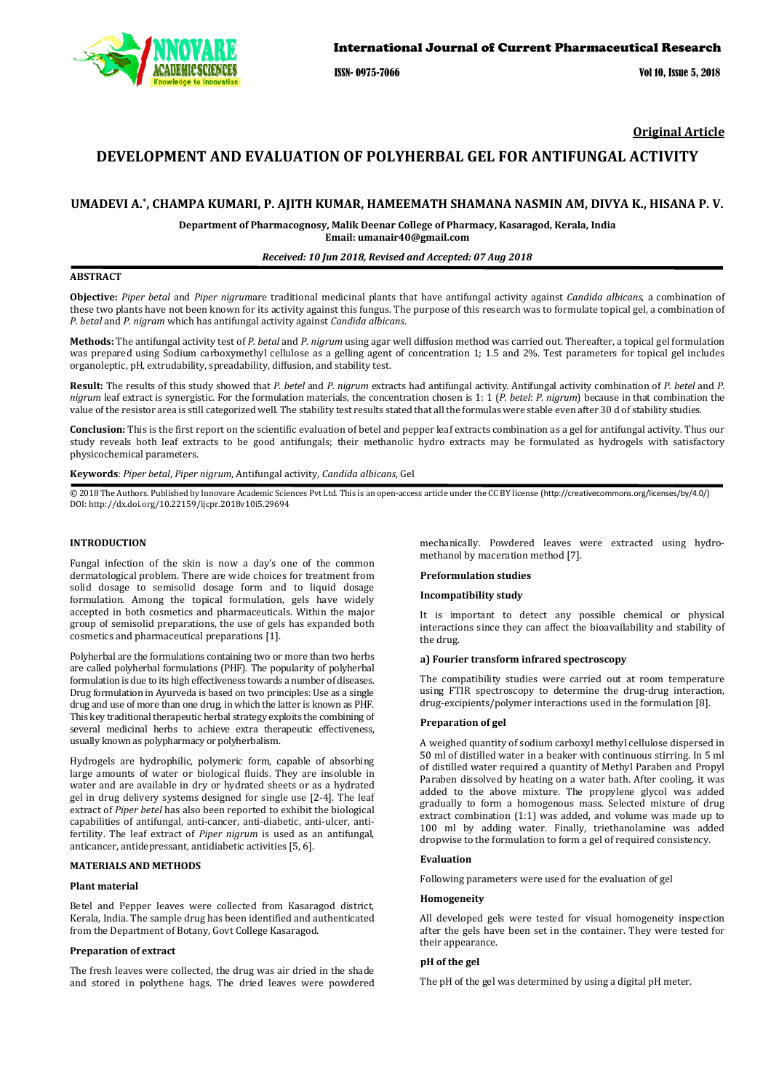

ISSN- 0975-7066 Vol 10, Issue 5, 2018

**Original Article** 

# **DEVELOPMENT AND EVALUATION OF POLYHERBAL GEL FOR ANTIFUNGAL ACTIVITY**

# **UMADEVI A.\* , CHAMPA KUMARI, P. AJITH KUMAR, HAMEEMATH SHAMANA NASMIN AM, DIVYA K., HISANA P. V.**

**Department of Pharmacognosy, Malik Deenar College of Pharmacy, Kasaragod, Kerala, India Email: umanair40@gmail.com** 

### *Received: 10 Jun 2018, Revised and Accepted: 07 Aug 2018*

## **ABSTRACT**

**Objective:** *Piper betal* and *Piper nigrum*are traditional medicinal plants that have antifungal activity against *Candida albicans*, a combination of these two plants have not been known for its activity against this fungus. The purpose of this research was to formulate topical gel, a combination of *P. betal* and *P. nigram* which has antifungal activity against *Candida albicans*.

**Methods:** The antifungal activity test of *P. betal* and *P. nigrum* using agar well diffusion method was carried out. Thereafter, a topical gel formulation was prepared using Sodium carboxymethyl cellulose as a gelling agent of concentration 1; 1.5 and 2%. Test parameters for topical gel includes organoleptic, pH, extrudability, spreadability, diffusion, and stability test.

**Result:** The results of this study showed that *P. betel* and *P. nigrum* extracts had antifungal activity. Antifungal activity combination of *P. betel* and *P. nigrum* leaf extract is synergistic. For the formulation materials, the concentration chosen is 1: 1 (*P. betel*: *P. nigrum*) because in that combination the value of the resistor area is still categorized well. The stability test results stated that all the formulas were stable even after 30 d of stability studies.

**Conclusion:** This is the first report on the scientific evaluation of betel and pepper leaf extracts combination as a gel for antifungal activity. Thus our study reveals both leaf extracts to be good antifungals; their methanolic hydro extracts may be formulated as hydrogels with satisfactory physicochemical parameters.

**Keywords**: *Piper betal*, *Piper nigrum*, Antifungal activity, *Candida albicans*, Gel

© 2018 The Authors. Published by Innovare Academic Sciences Pvt Ltd. This is an open-access article under the CC BY license (http://creativecommons.org/licenses/by/4.0/) DOI: http://dx.doi.org/10.22159/ijcpr.2018v10i5.29694

### **INTRODUCTION**

Fungal infection of the skin is now a day's one of the common dermatological problem. There are wide choices for treatment from solid dosage to semisolid dosage form and to liquid dosage formulation. Among the topical formulation, gels have widely accepted in both cosmetics and pharmaceuticals. Within the major group of semisolid preparations, the use of gels has expanded both cosmetics and pharmaceutical preparations [1].

Polyherbal are the formulations containing two or more than two herbs are called polyherbal formulations (PHF). The popularity of polyherbal formulation is due to its high effectiveness towards a number of diseases. Drug formulation in Ayurveda is based on two principles: Use as a single drug and use of more than one drug, in which the latter is known as PHF. This key traditional therapeutic herbal strategy exploits the combining of several medicinal herbs to achieve extra therapeutic effectiveness, usually known as polypharmacy or polyherbalism.

Hydrogels are hydrophilic, polymeric form, capable of absorbing large amounts of water or biological fluids. They are insoluble in water and are available in dry or hydrated sheets or as a hydrated gel in drug delivery systems designed for single use [2-4]. The leaf extract of *Piper betel* has also been reported to exhibit the biological capabilities of antifungal, anti-cancer, anti-diabetic, anti-ulcer, antifertility. The leaf extract of *Piper nigrum* is used as an antifungal, anticancer, antidepressant, antidiabetic activities [5, 6].

### **MATERIALS AND METHODS**

### **Plant material**

Betel and Pepper leaves were collected from Kasaragod district, Kerala, India. The sample drug has been identified and authenticated from the Department of Botany, Govt College Kasaragod.

#### **Preparation of extract**

The fresh leaves were collected, the drug was air dried in the shade and stored in polythene bags. The dried leaves were powdered mechanically. Powdered leaves were extracted using hydromethanol by maceration method [7].

#### **Preformulation studies**

#### **Incompatibility study**

It is important to detect any possible chemical or physical interactions since they can affect the bioavailability and stability of the drug.

#### **a) Fourier transform infrared spectroscopy**

The compatibility studies were carried out at room temperature using FTIR spectroscopy to determine the drug-drug interaction, drug-excipients/polymer interactions used in the formulation [8].

#### **Preparation of gel**

A weighed quantity of sodium carboxyl methyl cellulose dispersed in 50 ml of distilled water in a beaker with continuous stirring. In 5 ml of distilled water required a quantity of Methyl Paraben and Propyl Paraben dissolved by heating on a water bath. After cooling, it was added to the above mixture. The propylene glycol was added gradually to form a homogenous mass. Selected mixture of drug extract combination (1:1) was added, and volume was made up to 100 ml by adding water. Finally, triethanolamine was added dropwise to the formulation to form a gel of required consistency.

#### **Evaluation**

Following parameters were used for the evaluation of gel

## **Homogeneity**

All developed gels were tested for visual homogeneity inspection after the gels have been set in the container. They were tested for their appearance.

#### **pH of the gel**

The pH of the gel was determined by using a digital pH meter.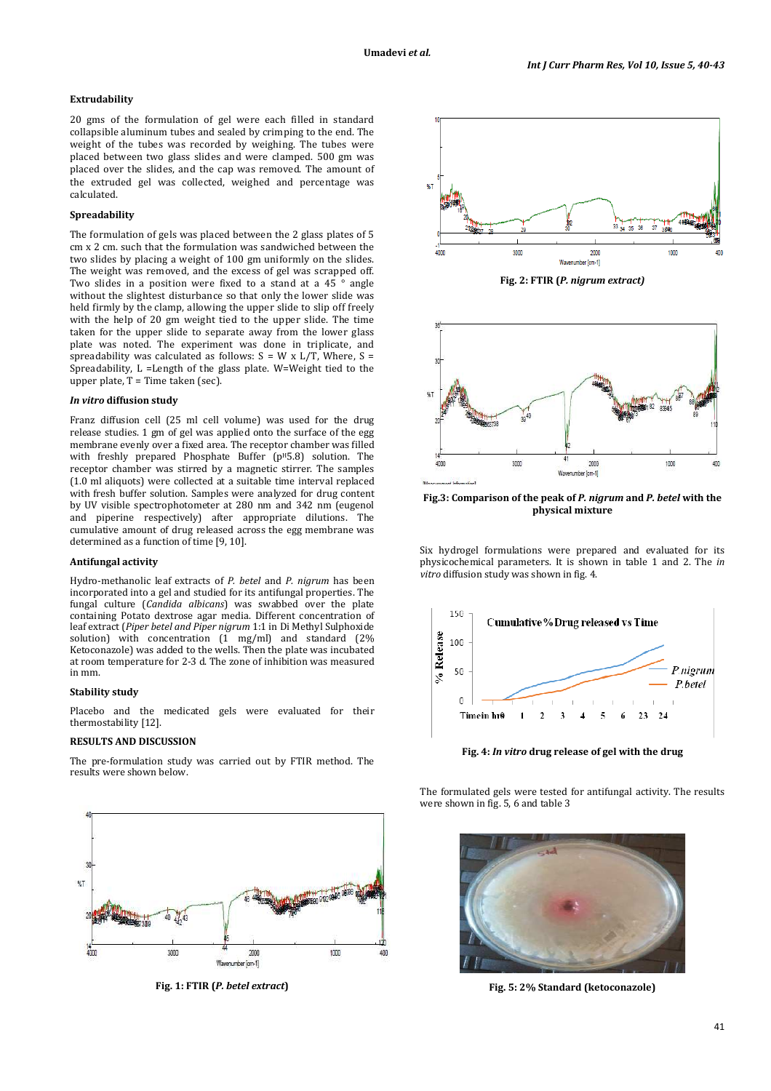## **Extrudability**

20 gms of the formulation of gel were each filled in standard collapsible aluminum tubes and sealed by crimping to the end. The weight of the tubes was recorded by weighing. The tubes were placed between two glass slides and were clamped. 500 gm was placed over the slides, and the cap was removed. The amount of the extruded gel was collected, weighed and percentage was calculated.

### **Spreadability**

The formulation of gels was placed between the 2 glass plates of 5 cm x 2 cm. such that the formulation was sandwiched between the two slides by placing a weight of 100 gm uniformly on the slides. The weight was removed, and the excess of gel was scrapped off. Two slides in a position were fixed to a stand at a 45 ° angle without the slightest disturbance so that only the lower slide was held firmly by the clamp, allowing the upper slide to slip off freely with the help of 20 gm weight tied to the upper slide. The time taken for the upper slide to separate away from the lower glass plate was noted. The experiment was done in triplicate, and spreadability was calculated as follows:  $S = W \times L/T$ , Where,  $S =$ Spreadability, L =Length of the glass plate. W=Weight tied to the upper plate,  $T = Time$  taken (sec).

#### *In vitro* **diffusion study**

Franz diffusion cell (25 ml cell volume) was used for the drug release studies. 1 gm of gel was applied onto the surface of the egg membrane evenly over a fixed area. The receptor chamber was filled with freshly prepared Phosphate Buffer (p<sup>H</sup>5.8) solution. The receptor chamber was stirred by a magnetic stirrer. The samples (1.0 ml aliquots) were collected at a suitable time interval replaced with fresh buffer solution. Samples were analyzed for drug content by UV visible spectrophotometer at 280 nm and 342 nm (eugenol and piperine respectively) after appropriate dilutions. The cumulative amount of drug released across the egg membrane was determined as a function of time [9, 10].

#### **Antifungal activity**

Hydro-methanolic leaf extracts of *P. betel* and *P. nigrum* has been incorporated into a gel and studied for its antifungal properties. The fungal culture (*Candida albicans*) was swabbed over the plate containing Potato dextrose agar media. Different concentration of leaf extract (*Piper betel and Piper nigrum* 1:1 in Di Methyl Sulphoxide solution) with concentration (1 mg/ml) and standard (2% Ketoconazole) was added to the wells. Then the plate was incubated at room temperature for 2-3 d. The zone of inhibition was measured in mm.

### **Stability study**

Placebo and the medicated gels were evaluated for their thermostability [12].

### **RESULTS AND DISCUSSION**

The pre-formulation study was carried out by FTIR method. The results were shown below.



**Fig. 1: FTIR (***P. betel extract***)** 



**Fig. 2: FTIR (***P. nigrum extract)* 



**Fig.3: Comparison of the peak of** *P. nigrum* **and** *P. betel* **with the physical mixture** 

Six hydrogel formulations were prepared and evaluated for its physicochemical parameters. It is shown in table 1 and 2. The *in vitro* diffusion study was shown in fig. 4.



**Fig. 4:** *In vitro* **drug release of gel with the drug** 

The formulated gels were tested for antifungal activity. The results were shown in fig. 5, 6 and table 3



**Fig. 5: 2% Standard (ketoconazole)**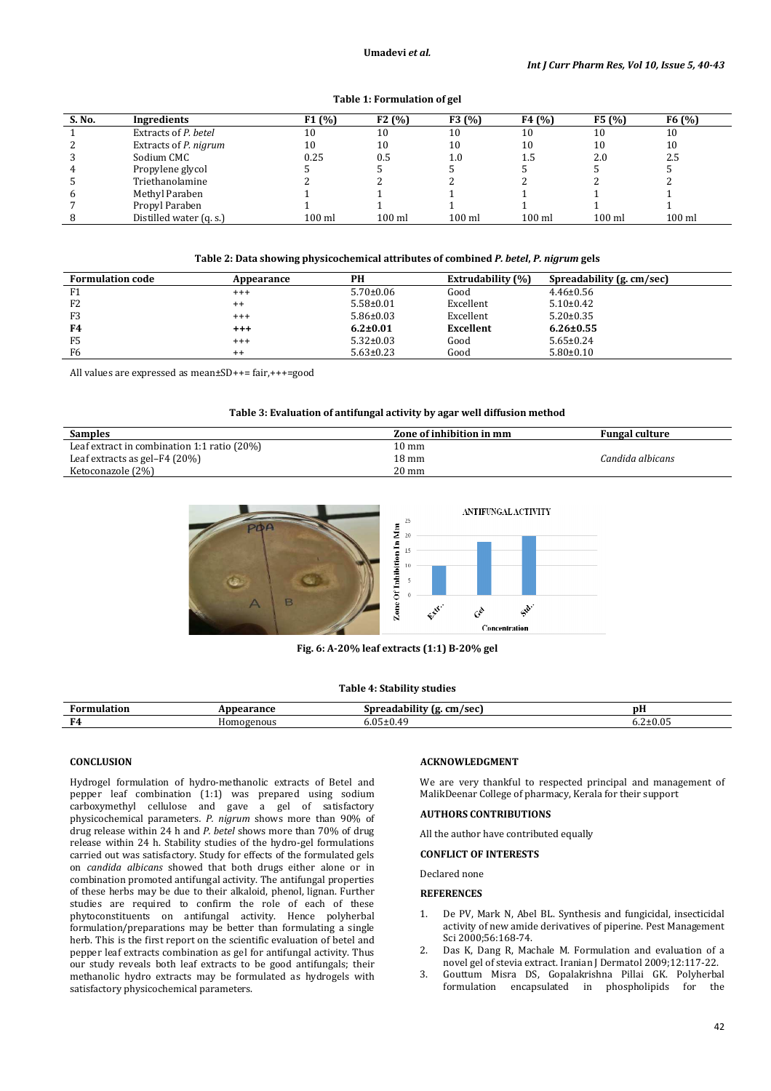|  |  | Table 1: Formulation of gel |  |
|--|--|-----------------------------|--|
|--|--|-----------------------------|--|

| S. No. | Ingredients             | F1 (%)   | F2(%)  | F3(%)    | F4(%)  | F5(%)               | F6(%)    |
|--------|-------------------------|----------|--------|----------|--------|---------------------|----------|
|        | Extracts of P. betel    | 10       | 10     | 10       | 10     | 10                  | 10       |
| 2      | Extracts of P. nigrum   | 10       | 10     | 10       | 10     | 10                  | 10       |
| 3      | Sodium CMC              | 0.25     | 0.5    | 1.0      | 1.5    | 2.0                 | 2.5      |
| 4      | Propylene glycol        |          |        |          |        |                     |          |
| 5      | Triethanolamine         |          |        |          |        |                     |          |
| 6      | Methyl Paraben          |          |        |          |        |                     |          |
|        | Propyl Paraben          |          |        |          |        |                     |          |
| 8      | Distilled water (q. s.) | $100$ ml | 100 ml | $100$ ml | 100 ml | $100 \,\mathrm{ml}$ | $100$ ml |

### **Table 2: Data showing physicochemical attributes of combined** *P. betel***,** *P. nigrum* **gels**

| <b>Formulation code</b> | Appearance      | PH              | <b>Extrudability</b> (%) | Spreadability (g. cm/sec) |
|-------------------------|-----------------|-----------------|--------------------------|---------------------------|
| F <sub>1</sub>          | $^{+++}$        | $5.70 \pm 0.06$ | Good                     | $4.46 \pm 0.56$           |
| F <sub>2</sub>          | $^{\mathrm{+}}$ | $5.58 \pm 0.01$ | Excellent                | $5.10\pm0.42$             |
| F <sub>3</sub>          | $^{+++}$        | $5.86 \pm 0.03$ | Excellent                | $5.20 \pm 0.35$           |
| F4                      | $^{++}$         | $6.2 \pm 0.01$  | Excellent                | $6.26 \pm 0.55$           |
| F <sub>5</sub>          | $^{+++}$        | $5.32 \pm 0.03$ | Good                     | $5.65 \pm 0.24$           |
| F <sub>6</sub>          | $^{++}$         | $5.63 \pm 0.23$ | Good                     | $5.80 \pm 0.10$           |

All values are expressed as mean±SD++= fair,+++=good

### **Table 3: Evaluation of antifungal activity by agar well diffusion method**

| <b>Samples</b>                                 | Zone of inhibition in mm | <b>Fungal culture</b> |
|------------------------------------------------|--------------------------|-----------------------|
| Leaf extract in combination 1:1 ratio $(20\%)$ | 10 mm                    |                       |
| Leaf extracts as gel-F4 (20%)                  | 18 mm                    | Candida albicans      |
| Ketoconazole (2%)                              | $20 \text{ mm}$          |                       |



**Fig. 6: A-20% leaf extracts (1:1) B-20% gel** 

### **Table 4: Stability studies**

| <b>FOLL</b><br>uor | ance:      | $\sim$<br>cm/sec<br>snrer<br>ıα<br>. . | $\overline{\phantom{a}}$<br>рH |
|--------------------|------------|----------------------------------------|--------------------------------|
| E4.                | Homogenous | $\sim$ $\sim$<br>.                     | 05<br><u>.</u>                 |

## **CONCLUSION**

Hydrogel formulation of hydro-methanolic extracts of Betel and pepper leaf combination (1:1) was prepared using sodium carboxymethyl cellulose and gave a gel of satisfactory physicochemical parameters*. P. nigrum* shows more than 90% of drug release within 24 h and *P. betel* shows more than 70% of drug release within 24 h. Stability studies of the hydro-gel formulations carried out was satisfactory. Study for effects of the formulated gels on *candida albicans* showed that both drugs either alone or in combination promoted antifungal activity. The antifungal properties of these herbs may be due to their alkaloid, phenol, lignan. Further studies are required to confirm the role of each of these phytoconstituents on antifungal activity. Hence polyherbal formulation/preparations may be better than formulating a single herb. This is the first report on the scientific evaluation of betel and pepper leaf extracts combination as gel for antifungal activity. Thus our study reveals both leaf extracts to be good antifungals; their methanolic hydro extracts may be formulated as hydrogels with satisfactory physicochemical parameters.

### **ACKNOWLEDGMENT**

We are very thankful to respected principal and management of MalikDeenar College of pharmacy, Kerala for their support

# **AUTHORS CONTRIBUTIONS**

All the author have contributed equally

### **CONFLICT OF INTERESTS**

Declared none

### **REFERENCES**

- 1. De PV, Mark N, Abel BL. Synthesis and fungicidal, insecticidal activity of new amide derivatives of piperine. Pest Management Sci 2000;56:168-74.
- 2. Das K, Dang R, Machale M. Formulation and evaluation of a novel gel of stevia extract. Iranian J Dermatol 2009;12:117-22.
- 3. Gouttum Misra DS, Gopalakrishna Pillai GK. Polyherbal formulation encapsulated in phospholipids for the